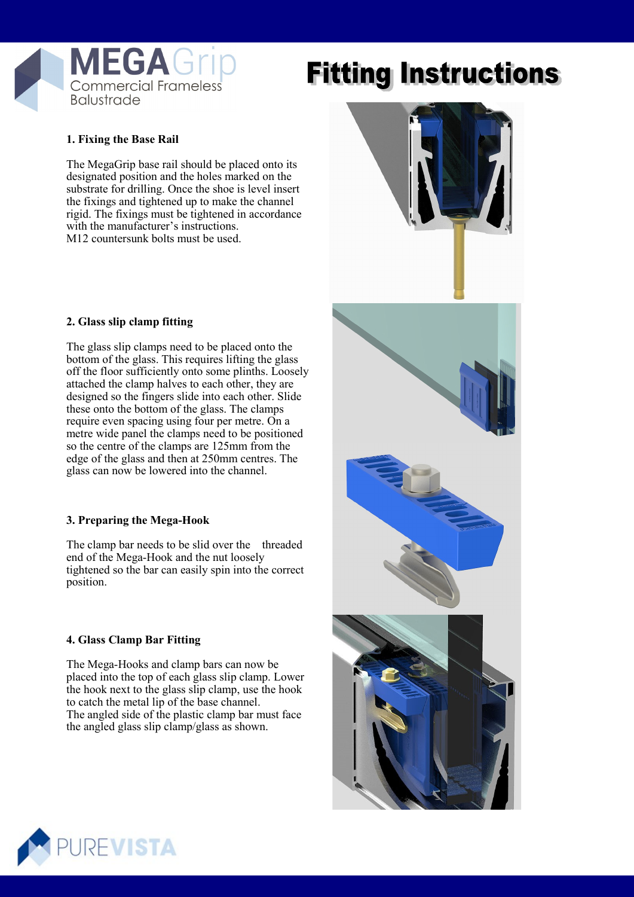

# **Fitting Instructions**

## **1. Fixing the Base Rail**

The MegaGrip base rail should be placed onto its designated position and the holes marked on the substrate for drilling. Once the shoe is level insert the fixings and tightened up to make the channel rigid. The fixings must be tightened in accordance with the manufacturer's instructions. M12 countersunk bolts must be used.

#### **2. Glass slip clamp fitting**

The glass slip clamps need to be placed onto the bottom of the glass. This requires lifting the glass off the floor sufficiently onto some plinths. Loosely attached the clamp halves to each other, they are designed so the fingers slide into each other. Slide these onto the bottom of the glass. The clamps require even spacing using four per metre. On a metre wide panel the clamps need to be positioned so the centre of the clamps are 125mm from the edge of the glass and then at 250mm centres. The glass can now be lowered into the channel.

#### **3. Preparing the Mega-Hook**

The clamp bar needs to be slid over the threaded end of the Mega-Hook and the nut loosely tightened so the bar can easily spin into the correct position.

## **4. Glass Clamp Bar Fitting**

The Mega-Hooks and clamp bars can now be placed into the top of each glass slip clamp. Lower the hook next to the glass slip clamp, use the hook to catch the metal lip of the base channel. The angled side of the plastic clamp bar must face the angled glass slip clamp/glass as shown.